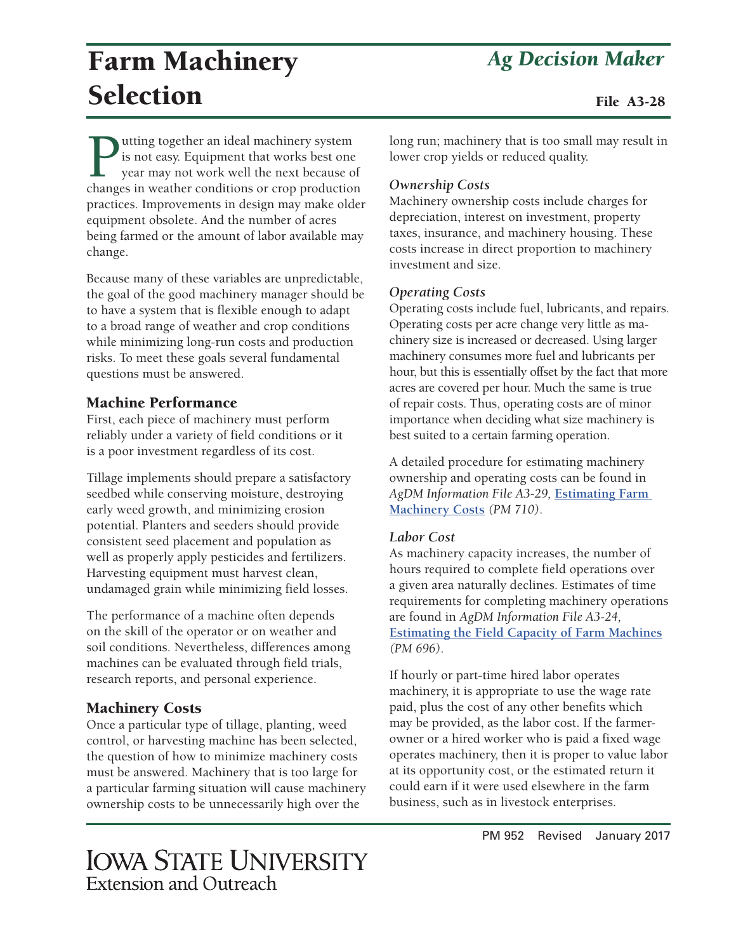# Farm Machinery *Ag Decision Maker* Selection

**Putting together an ideal machinery system**<br>is not easy. Equipment that works best one<br>year may not work well the next because of<br>changes in weather conditions or crop production is not easy. Equipment that works best one year may not work well the next because of changes in weather conditions or crop production practices. Improvements in design may make older equipment obsolete. And the number of acres being farmed or the amount of labor available may change.

Because many of these variables are unpredictable, the goal of the good machinery manager should be to have a system that is flexible enough to adapt to a broad range of weather and crop conditions while minimizing long-run costs and production risks. To meet these goals several fundamental questions must be answered.

#### Machine Performance

First, each piece of machinery must perform reliably under a variety of field conditions or it is a poor investment regardless of its cost.

Tillage implements should prepare a satisfactory seedbed while conserving moisture, destroying early weed growth, and minimizing erosion potential. Planters and seeders should provide consistent seed placement and population as well as properly apply pesticides and fertilizers. Harvesting equipment must harvest clean, undamaged grain while minimizing field losses.

The performance of a machine often depends on the skill of the operator or on weather and soil conditions. Nevertheless, differences among machines can be evaluated through field trials, research reports, and personal experience.

#### Machinery Costs

Once a particular type of tillage, planting, weed control, or harvesting machine has been selected, the question of how to minimize machinery costs must be answered. Machinery that is too large for a particular farming situation will cause machinery ownership costs to be unnecessarily high over the

#### long run; machinery that is too small may result in lower crop yields or reduced quality.

#### *Ownership Costs*

Machinery ownership costs include charges for depreciation, interest on investment, property taxes, insurance, and machinery housing. These costs increase in direct proportion to machinery investment and size.

#### *Operating Costs*

Operating costs include fuel, lubricants, and repairs. Operating costs per acre change very little as machinery size is increased or decreased. Using larger machinery consumes more fuel and lubricants per hour, but this is essentially offset by the fact that more acres are covered per hour. Much the same is true of repair costs. Thus, operating costs are of minor importance when deciding what size machinery is best suited to a certain farming operation.

A detailed procedure for estimating machinery ownership and operating costs can be found in *AgDM Information File A3-29,* **[Estimating Farm](http://www.extension.iastate.edu/agdm/crops/html/a3-29.html)  [Machinery Costs](http://www.extension.iastate.edu/agdm/crops/html/a3-29.html)** *(PM 710)*.

#### *Labor Cost*

As machinery capacity increases, the number of hours required to complete field operations over a given area naturally declines. Estimates of time requirements for completing machinery operations are found in *AgDM Information File A3-24,* **[Estimating the Field Capacity of Farm Machines](http://www.extension.iastate.edu/agdm/crops/html/a3-24.html)** *(PM 696)*.

If hourly or part-time hired labor operates machinery, it is appropriate to use the wage rate paid, plus the cost of any other benefits which may be provided, as the labor cost. If the farmerowner or a hired worker who is paid a fixed wage operates machinery, then it is proper to value labor at its opportunity cost, or the estimated return it could earn if it were used elsewhere in the farm business, such as in livestock enterprises.

## **IOWA STATE UNIVERSITY** Extension and Outreach

PM 952 Revised January 2017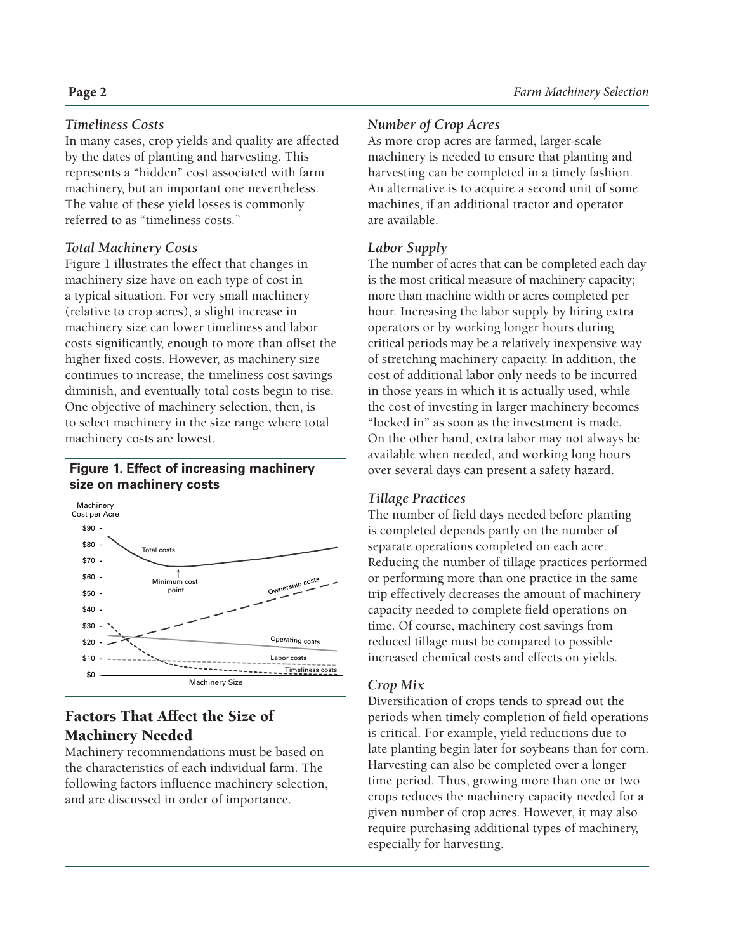#### *Timeliness Costs*

In many cases, crop yields and quality are affected by the dates of planting and harvesting. This represents a "hidden" cost associated with farm machinery, but an important one nevertheless. The value of these yield losses is commonly referred to as "timeliness costs."

#### *Total Machinery Costs*

Figure 1 illustrates the effect that changes in machinery size have on each type of cost in a typical situation. For very small machinery (relative to crop acres), a slight increase in machinery size can lower timeliness and labor costs significantly, enough to more than offset the higher fixed costs. However, as machinery size continues to increase, the timeliness cost savings diminish, and eventually total costs begin to rise. One objective of machinery selection, then, is to select machinery in the size range where total machinery costs are lowest.

#### **Figure 1. Effect of increasing machinery size on machinery costs**



### Factors That Affect the Size of Machinery Needed

Machinery recommendations must be based on the characteristics of each individual farm. The following factors influence machinery selection, and are discussed in order of importance.

#### *Number of Crop Acres*

As more crop acres are farmed, larger-scale machinery is needed to ensure that planting and harvesting can be completed in a timely fashion. An alternative is to acquire a second unit of some machines, if an additional tractor and operator are available.

#### *Labor Supply*

The number of acres that can be completed each day is the most critical measure of machinery capacity; more than machine width or acres completed per hour. Increasing the labor supply by hiring extra operators or by working longer hours during critical periods may be a relatively inexpensive way of stretching machinery capacity. In addition, the cost of additional labor only needs to be incurred in those years in which it is actually used, while the cost of investing in larger machinery becomes "locked in" as soon as the investment is made. On the other hand, extra labor may not always be available when needed, and working long hours over several days can present a safety hazard.

#### *Tillage Practices*

The number of field days needed before planting is completed depends partly on the number of separate operations completed on each acre. Reducing the number of tillage practices performed or performing more than one practice in the same trip effectively decreases the amount of machinery capacity needed to complete field operations on time. Of course, machinery cost savings from reduced tillage must be compared to possible increased chemical costs and effects on yields.

#### *Crop Mix*

Diversification of crops tends to spread out the periods when timely completion of field operations is critical. For example, yield reductions due to late planting begin later for soybeans than for corn. Harvesting can also be completed over a longer time period. Thus, growing more than one or two crops reduces the machinery capacity needed for a given number of crop acres. However, it may also require purchasing additional types of machinery, especially for harvesting.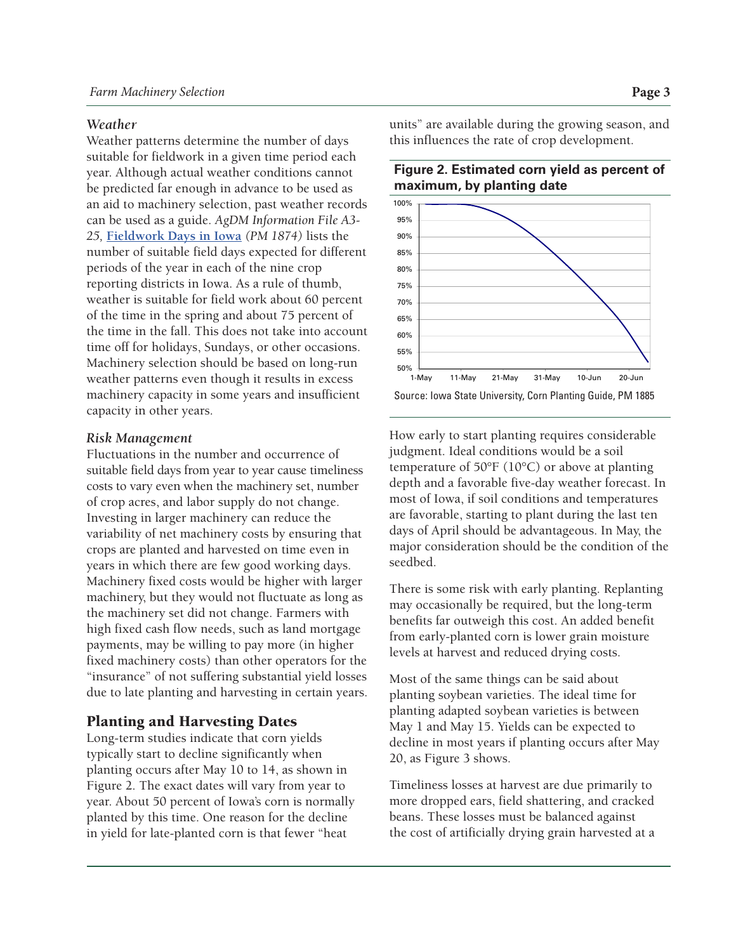#### *Weather*

Weather patterns determine the number of days suitable for fieldwork in a given time period each year. Although actual weather conditions cannot be predicted far enough in advance to be used as an aid to machinery selection, past weather records can be used as a guide. *AgDM Information File A3- 25,* **[Fieldwork Days in Iowa](http://www.extension.iastate.edu/agdm/crops/html/a3-25.html)** *(PM 1874)* lists the number of suitable field days expected for different periods of the year in each of the nine crop reporting districts in Iowa. As a rule of thumb, weather is suitable for field work about 60 percent of the time in the spring and about 75 percent of the time in the fall. This does not take into account time off for holidays, Sundays, or other occasions. Machinery selection should be based on long-run weather patterns even though it results in excess machinery capacity in some years and insufficient capacity in other years.

#### *Risk Management*

Fluctuations in the number and occurrence of suitable field days from year to year cause timeliness costs to vary even when the machinery set, number of crop acres, and labor supply do not change. Investing in larger machinery can reduce the variability of net machinery costs by ensuring that crops are planted and harvested on time even in years in which there are few good working days. Machinery fixed costs would be higher with larger machinery, but they would not fluctuate as long as the machinery set did not change. Farmers with high fixed cash flow needs, such as land mortgage payments, may be willing to pay more (in higher fixed machinery costs) than other operators for the "insurance" of not suffering substantial yield losses due to late planting and harvesting in certain years.

#### Planting and Harvesting Dates

Long-term studies indicate that corn yields typically start to decline significantly when planting occurs after May 10 to 14, as shown in Figure 2. The exact dates will vary from year to year. About 50 percent of Iowa's corn is normally planted by this time. One reason for the decline in yield for late-planted corn is that fewer "heat

units" are available during the growing season, and this influences the rate of crop development.





How early to start planting requires considerable judgment. Ideal conditions would be a soil temperature of 50°F (10°C) or above at planting depth and a favorable five-day weather forecast. In most of Iowa, if soil conditions and temperatures are favorable, starting to plant during the last ten days of April should be advantageous. In May, the major consideration should be the condition of the seedbed.

There is some risk with early planting. Replanting may occasionally be required, but the long-term benefits far outweigh this cost. An added benefit from early-planted corn is lower grain moisture levels at harvest and reduced drying costs.

Most of the same things can be said about planting soybean varieties. The ideal time for planting adapted soybean varieties is between May 1 and May 15. Yields can be expected to decline in most years if planting occurs after May 20, as Figure 3 shows.

Timeliness losses at harvest are due primarily to more dropped ears, field shattering, and cracked beans. These losses must be balanced against the cost of artificially drying grain harvested at a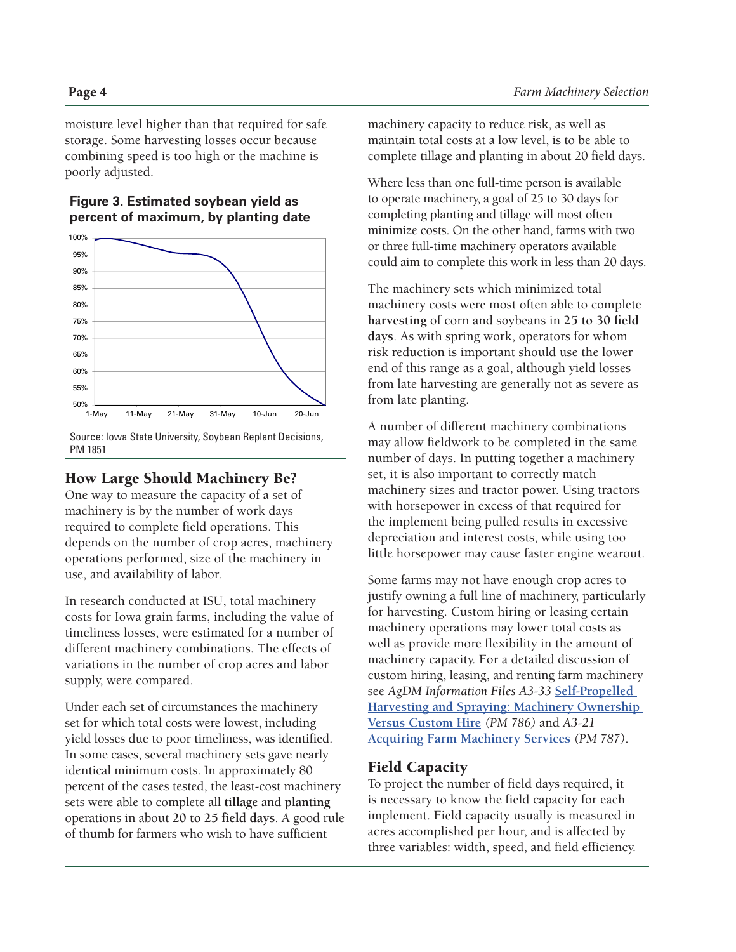moisture level higher than that required for safe storage. Some harvesting losses occur because combining speed is too high or the machine is poorly adjusted.

#### **Figure 3. Estimated soybean yield as percent of maximum, by planting date**



Source: Iowa State University, Soybean Replant Decisions, PM 1851

#### How Large Should Machinery Be?

One way to measure the capacity of a set of machinery is by the number of work days required to complete field operations. This depends on the number of crop acres, machinery operations performed, size of the machinery in use, and availability of labor.

In research conducted at ISU, total machinery costs for Iowa grain farms, including the value of timeliness losses, were estimated for a number of different machinery combinations. The effects of variations in the number of crop acres and labor supply, were compared.

Under each set of circumstances the machinery set for which total costs were lowest, including yield losses due to poor timeliness, was identified. In some cases, several machinery sets gave nearly identical minimum costs. In approximately 80 percent of the cases tested, the least-cost machinery sets were able to complete all **tillage** and **planting** operations in about **20 to 25 field days**. A good rule of thumb for farmers who wish to have sufficient

machinery capacity to reduce risk, as well as maintain total costs at a low level, is to be able to complete tillage and planting in about 20 field days.

Where less than one full-time person is available to operate machinery, a goal of 25 to 30 days for completing planting and tillage will most often minimize costs. On the other hand, farms with two or three full-time machinery operators available could aim to complete this work in less than 20 days.

The machinery sets which minimized total machinery costs were most often able to complete **harvesting** of corn and soybeans in **25 to 30 field days**. As with spring work, operators for whom risk reduction is important should use the lower end of this range as a goal, although yield losses from late harvesting are generally not as severe as from late planting.

A number of different machinery combinations may allow fieldwork to be completed in the same number of days. In putting together a machinery set, it is also important to correctly match machinery sizes and tractor power. Using tractors with horsepower in excess of that required for the implement being pulled results in excessive depreciation and interest costs, while using too little horsepower may cause faster engine wearout.

Some farms may not have enough crop acres to justify owning a full line of machinery, particularly for harvesting. Custom hiring or leasing certain machinery operations may lower total costs as well as provide more flexibility in the amount of machinery capacity. For a detailed discussion of custom hiring, leasing, and renting farm machinery see *AgDM Information Files A3-33* Self-Propelled **[Harvesting and Spraying: Machinery Ownership](https://store.extension.iastate.edu/Product/4098) Versus Custom Hire** *(PM 786)* and *A3-21* **[Acquiring Farm Machinery Services](http://www.extension.iastate.edu/agdm/crops/html/a3-21.html)** *(PM 787)*.

#### Field Capacity

To project the number of field days required, it is necessary to know the field capacity for each implement. Field capacity usually is measured in acres accomplished per hour, and is affected by three variables: width, speed, and field efficiency.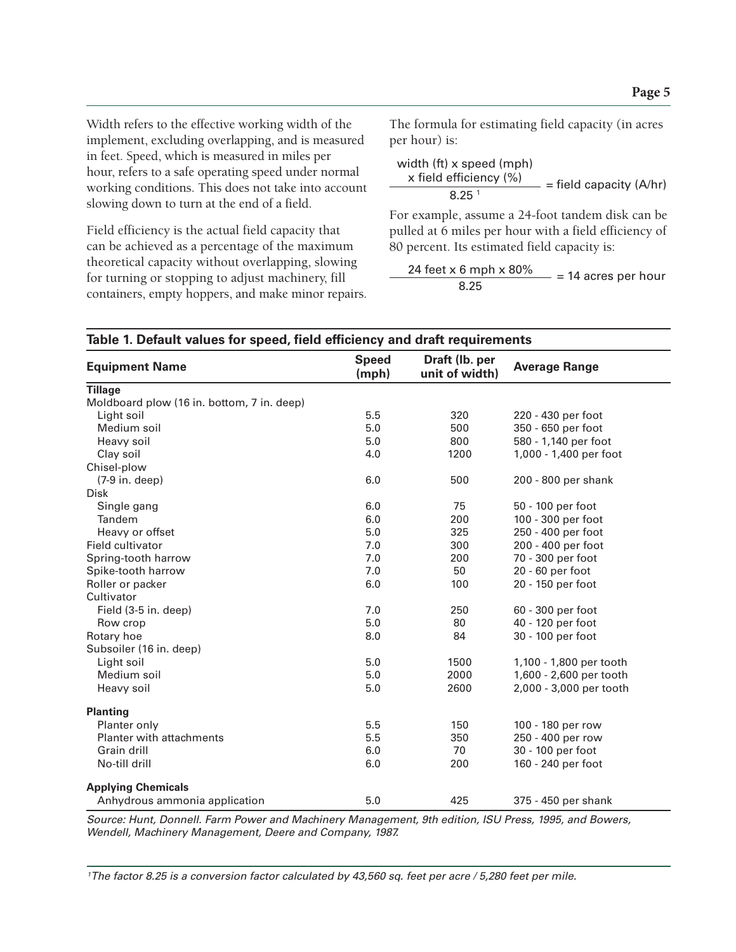Width refers to the effective working width of the implement, excluding overlapping, and is measured in feet. Speed, which is measured in miles per hour, refers to a safe operating speed under normal working conditions. This does not take into account slowing down to turn at the end of a field.

Field efficiency is the actual field capacity that can be achieved as a percentage of the maximum theoretical capacity without overlapping, slowing for turning or stopping to adjust machinery, fill containers, empty hoppers, and make minor repairs. The formula for estimating field capacity (in acres per hour) is:

width (ft) x speed (mph)  
\nx field efficiency (%) 
$$
\frac{8.25^{1}}{}
$$
 = field capacity (A/hr)

For example, assume a 24-foot tandem disk can be pulled at 6 miles per hour with a field efficiency of 80 percent. Its estimated field capacity is:

$$
\frac{24 \text{ feet} \times 6 \text{ mph} \times 80\%}{8.25} = 14 \text{ acres per hour}
$$

| <b>Equipment Name</b>                      | <b>Speed</b><br>(mph) | Draft (lb. per<br>unit of width) | <b>Average Range</b>    |  |
|--------------------------------------------|-----------------------|----------------------------------|-------------------------|--|
| <b>Tillage</b>                             |                       |                                  |                         |  |
| Moldboard plow (16 in. bottom, 7 in. deep) |                       |                                  |                         |  |
| Light soil                                 | 5.5                   | 320                              | 220 - 430 per foot      |  |
| Medium soil                                | 5.0                   | 500                              | 350 - 650 per foot      |  |
| Heavy soil                                 | 5.0                   | 800                              | 580 - 1,140 per foot    |  |
| Clay soil                                  | 4.0                   | 1200                             | 1,000 - 1,400 per foot  |  |
| Chisel-plow                                |                       |                                  |                         |  |
| $(7-9 in. deep)$                           | 6.0                   | 500                              | 200 - 800 per shank     |  |
| <b>Disk</b>                                |                       |                                  |                         |  |
| Single gang                                | 6.0                   | 75                               | 50 - 100 per foot       |  |
| Tandem                                     | 6.0                   | 200                              | 100 - 300 per foot      |  |
| Heavy or offset                            | 5.0                   | 325                              | 250 - 400 per foot      |  |
| Field cultivator                           | 7.0                   | 300                              | 200 - 400 per foot      |  |
| Spring-tooth harrow                        | 7.0                   | 200                              | 70 - 300 per foot       |  |
| Spike-tooth harrow                         | 7.0                   | 50                               | 20 - 60 per foot        |  |
| Roller or packer                           | 6.0                   | 100                              | 20 - 150 per foot       |  |
| Cultivator                                 |                       |                                  |                         |  |
| Field (3-5 in. deep)                       | 7.0                   | 250                              | 60 - 300 per foot       |  |
| Row crop                                   | 5.0                   | 80                               | 40 - 120 per foot       |  |
| Rotary hoe                                 | 8.0                   | 84                               | 30 - 100 per foot       |  |
| Subsoiler (16 in. deep)                    |                       |                                  |                         |  |
| Light soil                                 | 5.0                   | 1500                             | 1,100 - 1,800 per tooth |  |
| Medium soil                                | 5.0                   | 2000                             | 1,600 - 2,600 per tooth |  |
| Heavy soil                                 | 5.0                   | 2600                             | 2,000 - 3,000 per tooth |  |
| <b>Planting</b>                            |                       |                                  |                         |  |
| Planter only                               | 5.5                   | 150                              | 100 - 180 per row       |  |
| <b>Planter with attachments</b>            | 5.5                   | 350                              | 250 - 400 per row       |  |
| Grain drill                                | 6.0                   | 70                               | 30 - 100 per foot       |  |
| No-till drill                              | 6.0                   | 200                              | 160 - 240 per foot      |  |
| <b>Applying Chemicals</b>                  |                       |                                  |                         |  |
| Anhydrous ammonia application              | 5.0                   | 425                              | 375 - 450 per shank     |  |

#### **Table 1. Default values for speed, field efficiency and draft requirements**

*Source: Hunt, Donnell. Farm Power and Machinery Management, 9th edition, ISU Press, 1995, and Bowers, Wendell, Machinery Management, Deere and Company, 1987.*

*1 The factor 8.25 is a conversion factor calculated by 43,560 sq. feet per acre / 5,280 feet per mile.*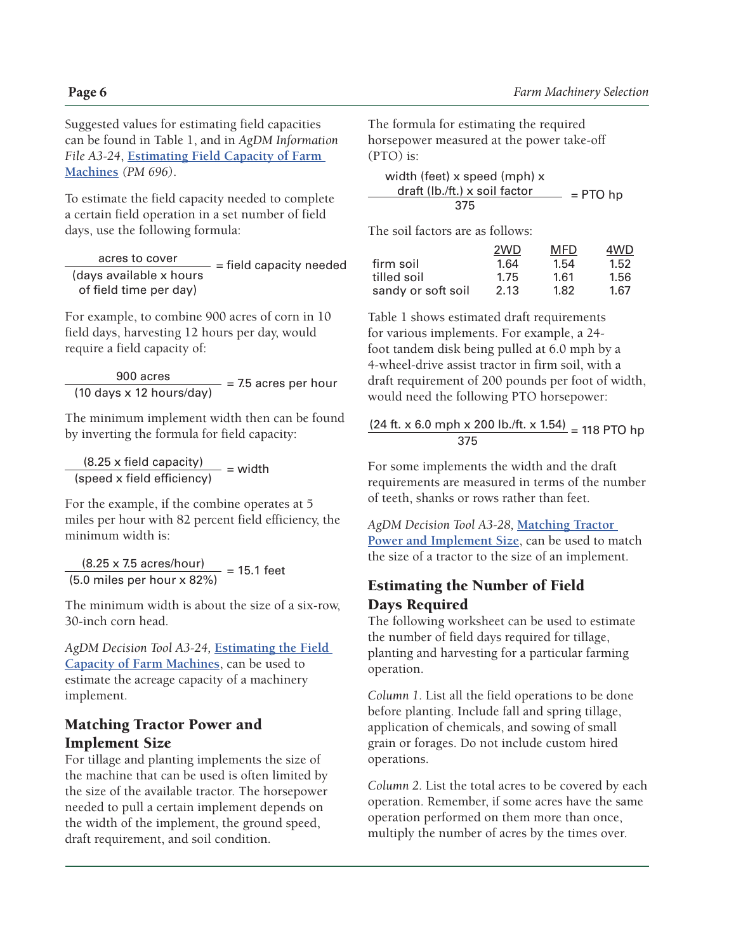Suggested values for estimating field capacities can be found in Table 1, and in *AgDM Information File A3-24*, **[Estimating Field Capacity of Farm](http://www.extension.iastate.edu/agdm/crops/html/a3-24.html)  [Machines](http://www.extension.iastate.edu/agdm/crops/html/a3-24.html)** *(PM 696)*.

To estimate the field capacity needed to complete a certain field operation in a set number of field days, use the following formula:

acres to cover<br>  $\frac{1}{2}$  = field capacity needed (days available x hours of field time per day)

For example, to combine 900 acres of corn in 10 field days, harvesting 12 hours per day, would require a field capacity of:

 $\frac{900 \text{ acres}}{(10 \text{ days} \times 12 \text{ hours/day})}$  = 7.5 acres per hour

The minimum implement width then can be found by inverting the formula for field capacity:

 $\frac{(8.25 \times \text{field capacity})}{(\text{speed} \times \text{field efficiency})}$  = width

For the example, if the combine operates at 5 miles per hour with 82 percent field efficiency, the minimum width is:

 $\frac{(8.25 \times 7.5 \text{ acres/hour})}{(5.0 \text{ miles per hour} \times 82\%)} = 15.1 \text{ feet}$ 

The minimum width is about the size of a six-row, 30-inch corn head.

*AgDM Decision Tool A3-24,* **[Estimating the Field](http://www.extension.iastate.edu/agdm/crops/xls/a3-24fieldcap.xlsx)  [Capacity of Farm Machines](http://www.extension.iastate.edu/agdm/crops/xls/a3-24fieldcap.xlsx)**, can be used to estimate the acreage capacity of a machinery implement.

#### Matching Tractor Power and Implement Size

For tillage and planting implements the size of the machine that can be used is often limited by the size of the available tractor. The horsepower needed to pull a certain implement depends on the width of the implement, the ground speed, draft requirement, and soil condition.

The formula for estimating the required horsepower measured at the power take-off (PTO) is:

width (feet) x speed (mph) x draft (lb./ft.) x soil factor  $=$  PTO hp 375

The soil factors are as follows:

|                    | 2WD  | MFD  | 4WD  |
|--------------------|------|------|------|
| firm soil          | 1.64 | 1.54 | 1.52 |
| tilled soil        | 1.75 | 1.61 | 1.56 |
| sandy or soft soil | 2.13 | 1.82 | 1.67 |

Table 1 shows estimated draft requirements for various implements. For example, a 24 foot tandem disk being pulled at 6.0 mph by a 4-wheel-drive assist tractor in firm soil, with a draft requirement of 200 pounds per foot of width, would need the following PTO horsepower:

#### $(24 \text{ ft. x } 6.0 \text{ mph x } 200 \text{ lb./ft. x } 1.54) = 118 \text{ PTO hp}$ 375

For some implements the width and the draft requirements are measured in terms of the number of teeth, shanks or rows rather than feet.

*AgDM Decision Tool A3-28,* **[Matching Tractor](http://www.extension.iastate.edu/agdm/crops/xls/a3-28tractorsize.xlsx)  [Power and Implement Size](http://www.extension.iastate.edu/agdm/crops/xls/a3-28tractorsize.xlsx)**, can be used to match the size of a tractor to the size of an implement.

#### Estimating the Number of Field Days Required

The following worksheet can be used to estimate the number of field days required for tillage, planting and harvesting for a particular farming operation.

*Column 1.* List all the field operations to be done before planting. Include fall and spring tillage, application of chemicals, and sowing of small grain or forages. Do not include custom hired operations.

*Column 2.* List the total acres to be covered by each operation. Remember, if some acres have the same operation performed on them more than once, multiply the number of acres by the times over.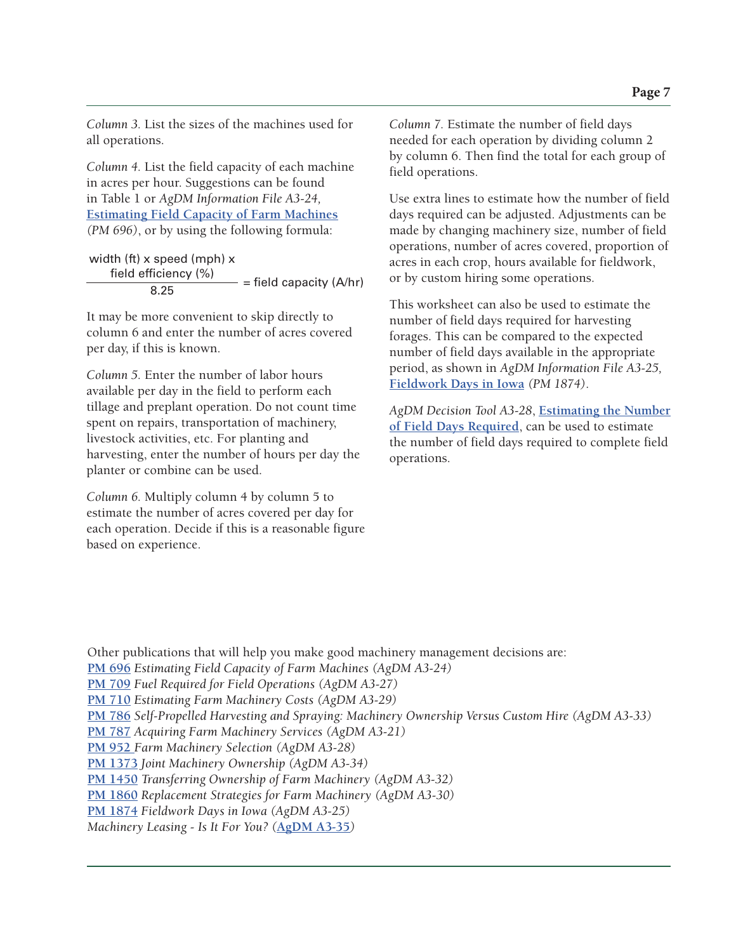*Column 3.* List the sizes of the machines used for all operations.

*Column 4.* List the field capacity of each machine in acres per hour. Suggestions can be found in Table 1 or *AgDM Information File A3-24,* **[Estimating Field Capacity of Farm Machines](http://www.extension.iastate.edu/agdm/crops/html/a3-24.html)** *(PM 696)*, or by using the following formula:

width (ft) x speed (mph) x  $\frac{\text{field efficiency } (\%)}{8.25}$  = field capacity (A/hr)

It may be more convenient to skip directly to column 6 and enter the number of acres covered per day, if this is known.

*Column 5.* Enter the number of labor hours available per day in the field to perform each tillage and preplant operation. Do not count time spent on repairs, transportation of machinery, livestock activities, etc. For planting and harvesting, enter the number of hours per day the planter or combine can be used.

*Column 6.* Multiply column 4 by column 5 to estimate the number of acres covered per day for each operation. Decide if this is a reasonable figure based on experience.

*Column 7.* Estimate the number of field days needed for each operation by dividing column 2 by column 6. Then find the total for each group of field operations.

Use extra lines to estimate how the number of field days required can be adjusted. Adjustments can be made by changing machinery size, number of field operations, number of acres covered, proportion of acres in each crop, hours available for fieldwork, or by custom hiring some operations.

This worksheet can also be used to estimate the number of field days required for harvesting forages. This can be compared to the expected number of field days available in the appropriate period, as shown in *AgDM Information File A3-25,* **[Fieldwork Days in Iowa](http://www.extension.iastate.edu/agdm/crops/html/a3-25.html)** *(PM 1874)*.

*AgDM Decision Tool A3-28*, **[Estimating the Number](http://www.extension.iastate.edu/agdm/crops/xls/a3-28fielddays.xlsx)  [of Field Days Required](http://www.extension.iastate.edu/agdm/crops/xls/a3-28fielddays.xlsx)**, can be used to estimate the number of field days required to complete field operations.

Other publications that will help you make good machinery management decisions are: **[PM 696](https://store.extension.iastate.edu/Product/Estimating-Field-Capacity-of-Farm-Machines-pdf)** *Estimating Field Capacity of Farm Machines (AgDM A3-24)* **[PM 709](http://store.extension.iastate.edu/Product/Fuel-Required-for-Field-Operations-Machinery-Management-pdf)** *Fuel Required for Field Operations (AgDM A3-27)* **[PM 710](https://store.extension.iastate.edu/Product/Estimating-Farm-Machinery-Costs-pdf)** *Estimating Farm Machinery Costs (AgDM A3-29)* **[PM 786](store.extension.iastate.edu/Product/Combine-Ownership-or-Custom-Hire-Machinery-Management-pdf)** *Self-Propelled Harvesting and Spraying: Machinery Ownership Versus Custom Hire (AgDM A3-33)* **[PM 787](http://store.extension.iastate.edu/Product/Acquiring-Farm-Machinery-Services-pdf)** *Acquiring Farm Machinery Services (AgDM A3-21)* **[PM 952](store.extension.iastate.edu/Product/Farm-Machinery-Selection-pdf)** *Farm Machinery Selection (AgDM A3-28)* **[PM 1373](http://store.extension.iastate.edu/Product/Joint-Machinery-Ownership-pdf)** *Joint Machinery Ownership (AgDM A3-34)* **[PM 1450](http://store.extension.iastate.edu/Product/Transferring-Ownership-of-Farm-Machinery-pdf)** *Transferring Ownership of Farm Machinery (AgDM A3-32)* **[PM 1860](https://store.extension.iastate.edu/Product/Replacement-Strategies-for-Farm-Machinery-pdf)** *Replacement Strategies for Farm Machinery (AgDM A3-30)* **[PM 1874](http://store.extension.iastate.edu/Product/Fieldwork-Days-in-Iowa-pdf)** *Fieldwork Days in Iowa (AgDM A3-25) [Machinery Leasing - Is It For You? \(](http://www.extension.iastate.edu/agdm/crops/pdf/a3-35.pdf)***AgDM A3-35***)*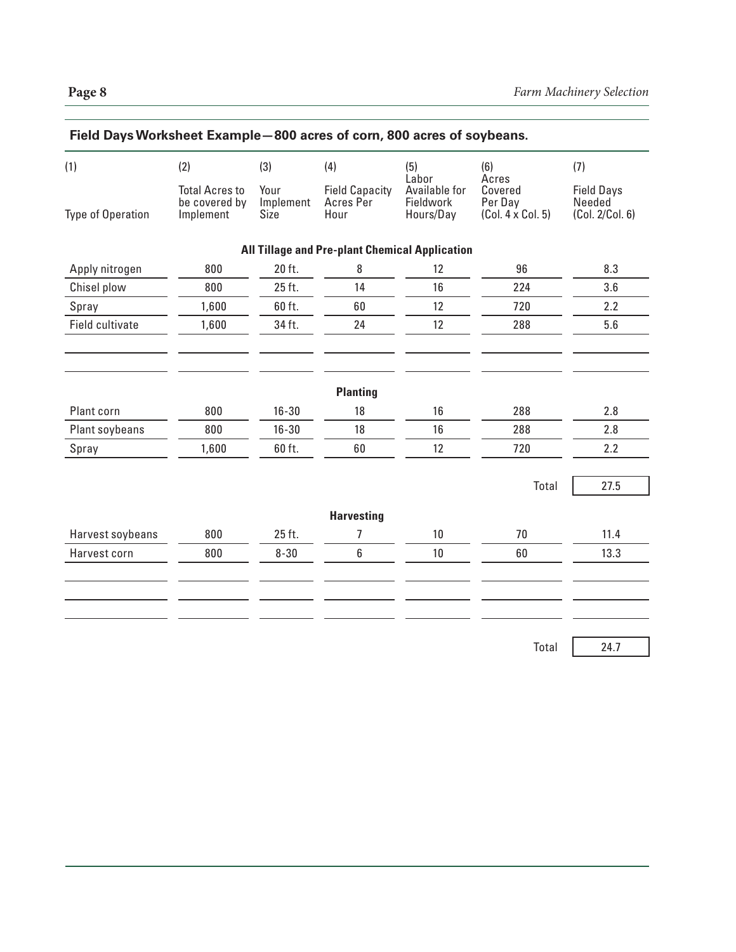| (1)               | (2)                                                 | (3)                       | (4)                                                   | (5)                                              | (6)                                              | (7)                                            |
|-------------------|-----------------------------------------------------|---------------------------|-------------------------------------------------------|--------------------------------------------------|--------------------------------------------------|------------------------------------------------|
| Type of Operation | <b>Total Acres to</b><br>be covered by<br>Implement | Your<br>Implement<br>Size | <b>Field Capacity</b><br>Acres Per<br>Hour            | Labor<br>Available for<br>Fieldwork<br>Hours/Day | Acres<br>Covered<br>Per Day<br>(Col. 4 x Col. 5) | <b>Field Days</b><br>Needed<br>(Col. 2/Col. 6) |
|                   |                                                     |                           | <b>All Tillage and Pre-plant Chemical Application</b> |                                                  |                                                  |                                                |
| Apply nitrogen    | 800                                                 | 20 ft.                    | 8                                                     | 12                                               | 96                                               | 8.3                                            |
| Chisel plow       | 800                                                 | 25 ft.                    | 14                                                    | 16                                               | 224                                              | 3.6                                            |
| Spray             | 1,600                                               | 60 ft.                    | 60                                                    | 12                                               | 720                                              | 2.2                                            |
| Field cultivate   | 1,600                                               | 34 ft.                    | 24                                                    | 12                                               | 288                                              | 5.6                                            |
| Plant corn        | 800                                                 | $16 - 30$                 | <b>Planting</b><br>18                                 | 16                                               | 288                                              | 2.8                                            |
| Plant soybeans    | 800                                                 | $16 - 30$                 | 18                                                    | 16                                               | 288                                              | 2.8                                            |
| Spray             | 1,600                                               | 60 ft.                    | 60                                                    | 12                                               | 720                                              | 2.2                                            |
|                   |                                                     |                           |                                                       |                                                  | Total                                            | 27.5                                           |
|                   |                                                     |                           | <b>Harvesting</b>                                     |                                                  |                                                  |                                                |
| Harvest soybeans  | 800                                                 | 25 ft.                    | 7                                                     | 10 <sup>°</sup>                                  | 70                                               | 11.4                                           |
| Harvest corn      | 800                                                 | $8 - 30$                  | 6                                                     | 10 <sup>°</sup>                                  | 60                                               | 13.3                                           |
|                   |                                                     |                           |                                                       |                                                  |                                                  |                                                |
|                   |                                                     |                           |                                                       |                                                  |                                                  |                                                |

Total 24.7